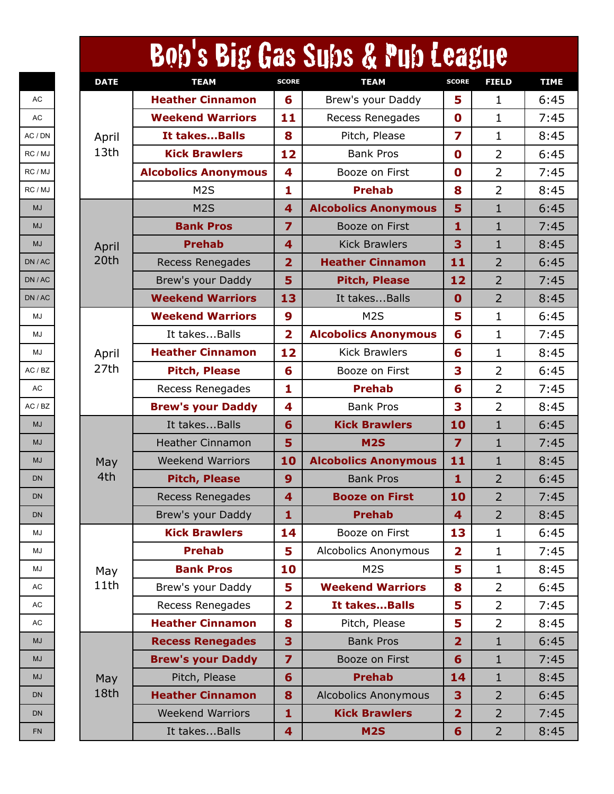|             |                             |                         | Bob's Big Gas Subs & Pub League |                         |                |             |
|-------------|-----------------------------|-------------------------|---------------------------------|-------------------------|----------------|-------------|
| <b>DATE</b> | <b>TEAM</b>                 | <b>SCORE</b>            | <b>TEAM</b>                     | <b>SCORE</b>            | <b>FIELD</b>   | <b>TIME</b> |
|             | <b>Heather Cinnamon</b>     | 6                       | Brew's your Daddy               | 5                       | $\mathbf{1}$   | 6:45        |
|             | <b>Weekend Warriors</b>     | 11                      | Recess Renegades                | $\mathbf 0$             | $\mathbf{1}$   | 7:45        |
| April       | It takesBalls               | 8                       | Pitch, Please                   | $\overline{z}$          | $\mathbf{1}$   | 8:45        |
| 13th        | <b>Kick Brawlers</b>        | 12                      | <b>Bank Pros</b>                | $\mathbf 0$             | $\overline{2}$ | 6:45        |
|             | <b>Alcobolics Anonymous</b> | 4                       | Booze on First                  | $\mathbf 0$             | $\overline{2}$ | 7:45        |
|             | M <sub>2</sub> S            | 1                       | <b>Prehab</b>                   | 8                       | $\overline{2}$ | 8:45        |
|             | M <sub>2</sub> S            | 4                       | <b>Alcobolics Anonymous</b>     | 5                       | $\mathbf{1}$   | 6:45        |
|             | <b>Bank Pros</b>            | $\overline{\mathbf{z}}$ | Booze on First                  | 1                       | $\mathbf{1}$   | 7:45        |
| April       | <b>Prehab</b>               | $\overline{\mathbf{4}}$ | <b>Kick Brawlers</b>            | 3                       | $\mathbf{1}$   | 8:45        |
| 20th        | <b>Recess Renegades</b>     | $\overline{2}$          | <b>Heather Cinnamon</b>         | 11                      | $\overline{2}$ | 6:45        |
|             | Brew's your Daddy           | 5                       | <b>Pitch, Please</b>            | 12                      | $\overline{2}$ | 7:45        |
|             | <b>Weekend Warriors</b>     | 13                      | It takesBalls                   | $\mathbf 0$             | $\overline{2}$ | 8:45        |
|             | <b>Weekend Warriors</b>     | 9                       | M <sub>2</sub> S                | 5                       | $\mathbf{1}$   | 6:45        |
|             | It takesBalls               | $\overline{\mathbf{2}}$ | <b>Alcobolics Anonymous</b>     | 6                       | $\mathbf{1}$   | 7:45        |
| April       | <b>Heather Cinnamon</b>     | 12                      | <b>Kick Brawlers</b>            | 6                       | $\mathbf{1}$   | 8:45        |
| 27th        | <b>Pitch, Please</b>        | 6                       | Booze on First                  | 3                       | $\overline{2}$ | 6:45        |
|             | Recess Renegades            | 1                       | <b>Prehab</b>                   | 6                       | $\overline{2}$ | 7:45        |
|             | <b>Brew's your Daddy</b>    | 4                       | <b>Bank Pros</b>                | 3                       | $\overline{2}$ | 8:45        |
|             | It takesBalls               | 6                       | <b>Kick Brawlers</b>            | 10                      | $\mathbf{1}$   | 6:45        |
|             | <b>Heather Cinnamon</b>     | 5                       | <b>M2S</b>                      | $\overline{z}$          | $\mathbf{1}$   | 7:45        |
| May         | <b>Weekend Warriors</b>     | 10                      | <b>Alcobolics Anonymous</b>     | 11                      | $\mathbf{1}$   | 8:45        |
| 4th         | <b>Pitch, Please</b>        | 9                       | <b>Bank Pros</b>                | $\mathbf{1}$            | $\overline{2}$ | 6:45        |
|             | <b>Recess Renegades</b>     | 4                       | <b>Booze on First</b>           | 10                      | 2              | 7:45        |
|             | Brew's your Daddy           | $\mathbf{1}$            | <b>Prehab</b>                   | $\overline{\mathbf{4}}$ | $\overline{2}$ | 8:45        |
|             | <b>Kick Brawlers</b>        | 14                      | Booze on First                  | 13                      | $\mathbf{1}$   | 6:45        |
|             | <b>Prehab</b>               | 5                       | Alcobolics Anonymous            | $\overline{\mathbf{2}}$ | $\mathbf{1}$   | 7:45        |
| May         | <b>Bank Pros</b>            | 10                      | M <sub>2</sub> S                | 5                       | $\mathbf{1}$   | 8:45        |
| 11th        | Brew's your Daddy           | 5                       | <b>Weekend Warriors</b>         | 8                       | $\overline{2}$ | 6:45        |
|             | <b>Recess Renegades</b>     | $\overline{2}$          | It takesBalls                   | 5                       | $\overline{2}$ | 7:45        |
|             | <b>Heather Cinnamon</b>     | 8                       | Pitch, Please                   | 5                       | $\overline{2}$ | 8:45        |
|             | <b>Recess Renegades</b>     | 3                       | <b>Bank Pros</b>                | $\overline{2}$          | $\mathbf{1}$   | 6:45        |
|             | <b>Brew's your Daddy</b>    | $\overline{7}$          | Booze on First                  | $6\phantom{1}$          | $\mathbf{1}$   | 7:45        |
| May         | Pitch, Please               | 6                       | <b>Prehab</b>                   | 14                      | $\mathbf{1}$   | 8:45        |
| 18th        | <b>Heather Cinnamon</b>     | 8                       | <b>Alcobolics Anonymous</b>     | 3                       | $\overline{2}$ | 6:45        |
|             | <b>Weekend Warriors</b>     | $\mathbf{1}$            | <b>Kick Brawlers</b>            | $\overline{2}$          | $\overline{2}$ | 7:45        |
|             | It takesBalls               | $\overline{\mathbf{4}}$ | <b>M2S</b>                      | 6                       | $\overline{2}$ | 8:45        |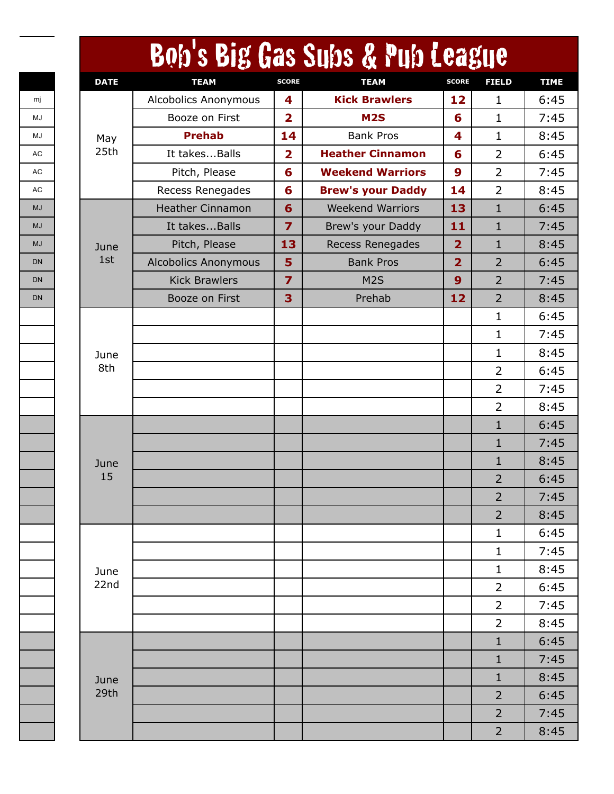| <b>DATE</b> | <b>TEAM</b>                 | <b>SCORE</b>            | Bob's Big Gas Subs & Pub League<br><b>TEAM</b> | <b>SCORE</b>            | <b>FIELD</b>   |
|-------------|-----------------------------|-------------------------|------------------------------------------------|-------------------------|----------------|
|             | <b>Alcobolics Anonymous</b> | 4                       | <b>Kick Brawlers</b>                           | 12                      | 1              |
|             | Booze on First              | $\overline{\mathbf{2}}$ | M <sub>2</sub> S                               | 6                       | 1              |
| May         | <b>Prehab</b>               | 14                      | <b>Bank Pros</b>                               | 4                       | $\mathbf 1$    |
| 25th        | It takesBalls               | $\overline{\mathbf{2}}$ | <b>Heather Cinnamon</b>                        | 6                       | $\overline{2}$ |
|             | Pitch, Please               | 6                       | <b>Weekend Warriors</b>                        | 9                       | $\overline{2}$ |
|             | Recess Renegades            | 6                       | <b>Brew's your Daddy</b>                       | 14                      | $\overline{2}$ |
|             | <b>Heather Cinnamon</b>     | 6                       | <b>Weekend Warriors</b>                        | 13                      | $\mathbf{1}$   |
|             | It takesBalls               | $\overline{\mathbf{z}}$ | Brew's your Daddy                              | 11                      | $\mathbf{1}$   |
| June        | Pitch, Please               | 13                      | <b>Recess Renegades</b>                        | $\overline{2}$          | $\mathbf{1}$   |
| 1st         | <b>Alcobolics Anonymous</b> | 5                       | <b>Bank Pros</b>                               | $\overline{\mathbf{2}}$ | $\overline{2}$ |
|             | <b>Kick Brawlers</b>        | $\overline{z}$          | M <sub>2</sub> S                               | 9                       | $\overline{2}$ |
|             | Booze on First              | 3                       | Prehab                                         | 12                      | $\overline{2}$ |
|             |                             |                         |                                                |                         | $\mathbf 1$    |
|             |                             |                         |                                                |                         | 1              |
| June        |                             |                         |                                                |                         | $\mathbf{1}$   |
| 8th         |                             |                         |                                                |                         | 2              |
|             |                             |                         |                                                |                         | $\overline{2}$ |
|             |                             |                         |                                                |                         | $\overline{2}$ |
|             |                             |                         |                                                |                         | $\mathbf{1}$   |
|             |                             |                         |                                                |                         | $\mathbf{1}$   |
| June        |                             |                         |                                                |                         | $\mathbf{1}$   |
| 15          |                             |                         |                                                |                         | $\overline{2}$ |
|             |                             |                         |                                                |                         | $\overline{2}$ |
|             |                             |                         |                                                |                         | $\overline{2}$ |
|             |                             |                         |                                                |                         | $\mathbf{1}$   |
|             |                             |                         |                                                |                         | $\mathbf 1$    |
| June        |                             |                         |                                                |                         | $\mathbf{1}$   |
| 22nd        |                             |                         |                                                |                         | $\overline{2}$ |
|             |                             |                         |                                                |                         | $\overline{2}$ |
|             |                             |                         |                                                |                         | $\overline{2}$ |
|             |                             |                         |                                                |                         | $\mathbf{1}$   |
|             |                             |                         |                                                |                         | $\mathbf{1}$   |
| June        |                             |                         |                                                |                         | $\mathbf{1}$   |
| 29th        |                             |                         |                                                |                         | $\overline{2}$ |
|             |                             |                         |                                                |                         | $\overline{2}$ |
|             |                             |                         |                                                |                         | $\overline{2}$ |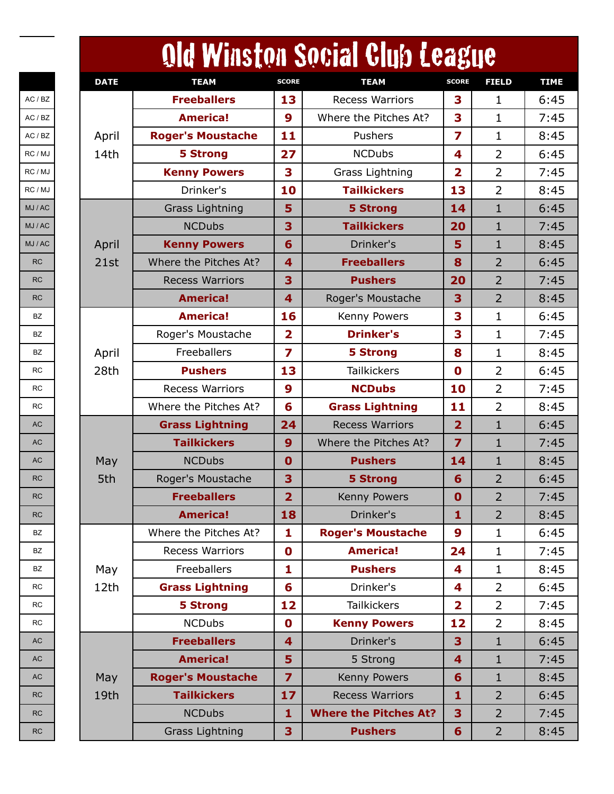|           |             |                          |                         | Old Winston Social Club League |                         |                |             |
|-----------|-------------|--------------------------|-------------------------|--------------------------------|-------------------------|----------------|-------------|
|           | <b>DATE</b> | <b>TEAM</b>              | <b>SCORE</b>            | <b>TEAM</b>                    | <b>SCORE</b>            | <b>FIELD</b>   | <b>TIME</b> |
| AC / BZ   |             | <b>Freeballers</b>       | 13                      | <b>Recess Warriors</b>         | 3                       | 1              | 6:45        |
| AC / BZ   |             | <b>America!</b>          | $\boldsymbol{9}$        | Where the Pitches At?          | 3                       | $\mathbf{1}$   | 7:45        |
| AC / BZ   | April       | <b>Roger's Moustache</b> | 11                      | Pushers                        | 7                       | $\mathbf{1}$   | 8:45        |
| RC / MJ   | 14th        | <b>5 Strong</b>          | 27                      | <b>NCDubs</b>                  | 4                       | $\overline{2}$ | 6:45        |
| RC / MJ   |             | <b>Kenny Powers</b>      | 3                       | Grass Lightning                | $\overline{2}$          | $\overline{2}$ | 7:45        |
| RC / MJ   |             | Drinker's                | 10                      | <b>Tailkickers</b>             | 13                      | $\overline{2}$ | 8:45        |
| MJ / AC   |             | <b>Grass Lightning</b>   | 5                       | <b>5 Strong</b>                | 14                      | $\mathbf{1}$   | 6:45        |
| MJ / AC   |             | <b>NCDubs</b>            | 3                       | <b>Tailkickers</b>             | 20                      | 1              | 7:45        |
| MJ / AC   | April       | <b>Kenny Powers</b>      | 6                       | Drinker's                      | 5                       | $\mathbf{1}$   | 8:45        |
| <b>RC</b> | 21st        | Where the Pitches At?    | 4                       | <b>Freeballers</b>             | 8                       | $\overline{2}$ | 6:45        |
| <b>RC</b> |             | <b>Recess Warriors</b>   | 3                       | <b>Pushers</b>                 | 20                      | $\overline{2}$ | 7:45        |
| <b>RC</b> |             | <b>America!</b>          | $\overline{\mathbf{4}}$ | Roger's Moustache              | 3                       | $\overline{2}$ | 8:45        |
| BZ        |             | <b>America!</b>          | 16                      | Kenny Powers                   | 3                       | $\mathbf{1}$   | 6:45        |
| <b>BZ</b> |             | Roger's Moustache        | $\overline{\mathbf{2}}$ | <b>Drinker's</b>               | 3                       | $\mathbf{1}$   | 7:45        |
| BZ        | April       | Freeballers              | 7                       | <b>5 Strong</b>                | 8                       | $\mathbf{1}$   | 8:45        |
| <b>RC</b> | 28th        | <b>Pushers</b>           | 13                      | <b>Tailkickers</b>             | $\mathbf 0$             | $\overline{2}$ | 6:45        |
| <b>RC</b> |             | <b>Recess Warriors</b>   | 9                       | <b>NCDubs</b>                  | 10                      | $\overline{2}$ | 7:45        |
| <b>RC</b> |             | Where the Pitches At?    | 6                       | <b>Grass Lightning</b>         | 11                      | $\overline{2}$ | 8:45        |
| <b>AC</b> |             | <b>Grass Lightning</b>   | 24                      | <b>Recess Warriors</b>         | $\overline{2}$          | $\mathbf{1}$   | 6:45        |
| <b>AC</b> |             | <b>Tailkickers</b>       | 9                       | Where the Pitches At?          | $\overline{7}$          | 1              | 7:45        |
| AC        | May         | <b>NCDubs</b>            | $\mathbf 0$             | <b>Pushers</b>                 | 14                      | $\mathbf{1}$   | 8:45        |
| <b>RC</b> | 5th         | Roger's Moustache        | 3                       | <b>5 Strong</b>                | 6                       | $\overline{2}$ | 6:45        |
| <b>RC</b> |             | <b>Freeballers</b>       | $\overline{2}$          | Kenny Powers                   | $\mathbf 0$             | 2              | 7:45        |
| <b>RC</b> |             | <b>America!</b>          | 18                      | Drinker's                      | $\mathbf{1}$            | $\overline{2}$ | 8:45        |
| BZ        |             | Where the Pitches At?    | $\mathbf{1}$            | <b>Roger's Moustache</b>       | 9                       | $\mathbf{1}$   | 6:45        |
| BZ        |             | <b>Recess Warriors</b>   | $\mathbf 0$             | <b>America!</b>                | 24                      | $\mathbf{1}$   | 7:45        |
| BZ        | May         | Freeballers              | 1                       | <b>Pushers</b>                 | 4                       | $\mathbf{1}$   | 8:45        |
| <b>RC</b> | 12th        | <b>Grass Lightning</b>   | 6                       | Drinker's                      | 4                       | $\overline{2}$ | 6:45        |
| <b>RC</b> |             | <b>5 Strong</b>          | 12                      | <b>Tailkickers</b>             | $\overline{\mathbf{2}}$ | $\overline{2}$ | 7:45        |
| <b>RC</b> |             | <b>NCDubs</b>            | $\mathbf 0$             | <b>Kenny Powers</b>            | 12                      | $\overline{2}$ | 8:45        |
| <b>AC</b> |             | <b>Freeballers</b>       | $\overline{\mathbf{4}}$ | Drinker's                      | 3                       | $\mathbf{1}$   | 6:45        |
| <b>AC</b> |             | <b>America!</b>          | 5                       | 5 Strong                       | 4                       | $\mathbf{1}$   | 7:45        |
| <b>AC</b> | May         | <b>Roger's Moustache</b> | $\overline{z}$          | Kenny Powers                   | 6                       | $\mathbf{1}$   | 8:45        |
| <b>RC</b> | 19th        | <b>Tailkickers</b>       | 17                      | <b>Recess Warriors</b>         | $\mathbf{1}$            | $\overline{2}$ | 6:45        |
| <b>RC</b> |             | <b>NCDubs</b>            | $\mathbf{1}$            | <b>Where the Pitches At?</b>   | 3                       | $\overline{2}$ | 7:45        |
| RC        |             | <b>Grass Lightning</b>   | 3                       | <b>Pushers</b>                 | $6\phantom{1}$          | $\overline{2}$ | 8:45        |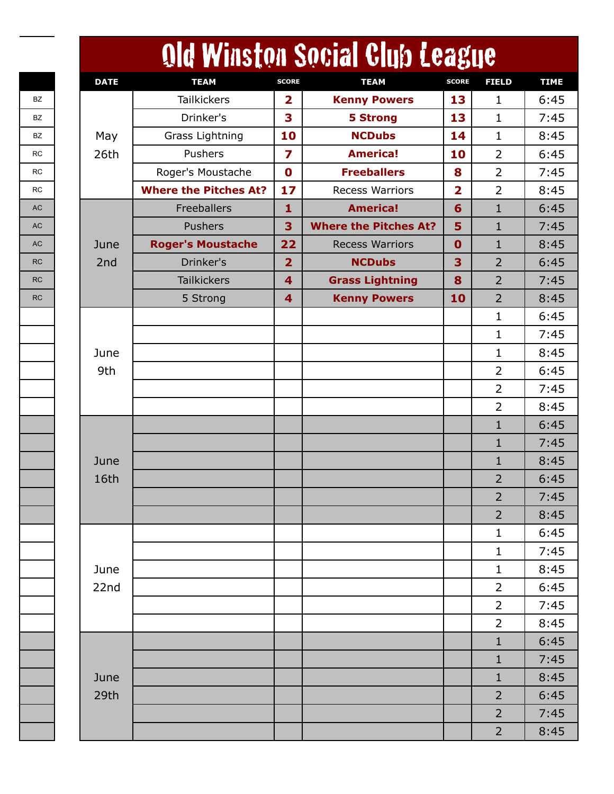|             |                              |                         | Old Winston Social Club League |                         |                |
|-------------|------------------------------|-------------------------|--------------------------------|-------------------------|----------------|
| <b>DATE</b> | <b>TEAM</b>                  | <b>SCORE</b>            | <b>TEAM</b>                    | <b>SCORE</b>            | <b>FIELD</b>   |
|             | <b>Tailkickers</b>           | $\overline{\mathbf{2}}$ | <b>Kenny Powers</b>            | 13                      | 1              |
|             | Drinker's                    | 3                       | <b>5 Strong</b>                | 13                      | 1              |
| May         | Grass Lightning              | 10                      | <b>NCDubs</b>                  | 14                      | $\mathbf{1}$   |
| 26th        | Pushers                      | 7                       | <b>America!</b>                | 10                      | $\overline{2}$ |
|             | Roger's Moustache            | $\mathbf 0$             | <b>Freeballers</b>             | 8                       | $\overline{2}$ |
|             | <b>Where the Pitches At?</b> | 17                      | <b>Recess Warriors</b>         | $\overline{\mathbf{2}}$ | $\overline{2}$ |
|             | Freeballers                  | 1                       | <b>America!</b>                | 6                       | $\mathbf{1}$   |
|             | Pushers                      | 3                       | <b>Where the Pitches At?</b>   | 5                       | $\mathbf{1}$   |
| June        | <b>Roger's Moustache</b>     | 22                      | <b>Recess Warriors</b>         | $\mathbf 0$             | $\mathbf{1}$   |
| 2nd         | Drinker's                    | $\overline{2}$          | <b>NCDubs</b>                  | 3                       | $\overline{2}$ |
|             | <b>Tailkickers</b>           | $\overline{\mathbf{4}}$ | <b>Grass Lightning</b>         | 8                       | $\overline{2}$ |
|             | 5 Strong                     | $\overline{\mathbf{4}}$ | <b>Kenny Powers</b>            | 10                      | $\overline{2}$ |
|             |                              |                         |                                |                         | $\mathbf{1}$   |
|             |                              |                         |                                |                         | 1              |
| June        |                              |                         |                                |                         | $\mathbf{1}$   |
| 9th         |                              |                         |                                |                         | $\overline{2}$ |
|             |                              |                         |                                |                         | $\overline{2}$ |
|             |                              |                         |                                |                         | $\overline{2}$ |
|             |                              |                         |                                |                         | $\mathbf{1}$   |
|             |                              |                         |                                |                         | $\mathbf{1}$   |
| June        |                              |                         |                                |                         | $\mathbf{1}$   |
| 16th        |                              |                         |                                |                         | $\overline{2}$ |
|             |                              |                         |                                |                         | $\overline{2}$ |
|             |                              |                         |                                |                         | $\overline{2}$ |
|             |                              |                         |                                |                         | $\mathbf 1$    |
|             |                              |                         |                                |                         | $\mathbf{1}$   |
| June        |                              |                         |                                |                         | $\mathbf{1}$   |
| 22nd        |                              |                         |                                |                         | $\overline{2}$ |
|             |                              |                         |                                |                         | $\overline{2}$ |
|             |                              |                         |                                |                         | $\overline{2}$ |
|             |                              |                         |                                |                         | $\mathbf{1}$   |
|             |                              |                         |                                |                         | $\mathbf{1}$   |
| June        |                              |                         |                                |                         | $\mathbf{1}$   |
| 29th        |                              |                         |                                |                         | $\overline{2}$ |
|             |                              |                         |                                |                         | $\overline{2}$ |
|             |                              |                         |                                |                         | $\overline{2}$ |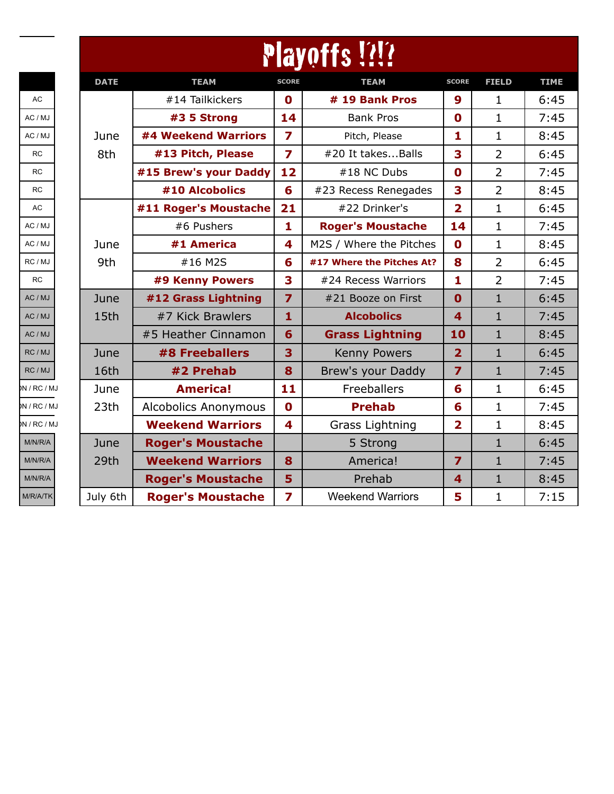|           | <b>Playoffs!?</b> |                             |                         |                           |                         |                |             |  |  |
|-----------|-------------------|-----------------------------|-------------------------|---------------------------|-------------------------|----------------|-------------|--|--|
|           | <b>DATE</b>       | <b>TEAM</b>                 | <b>SCORE</b>            | <b>TEAM</b>               | <b>SCORE</b>            | <b>FIELD</b>   | <b>TIME</b> |  |  |
| AC        |                   | #14 Tailkickers             | $\mathbf 0$             | # 19 Bank Pros            | 9                       | $\mathbf{1}$   | 6:45        |  |  |
| AC / MJ   |                   | #3 5 Strong                 | 14                      | <b>Bank Pros</b>          | $\mathbf 0$             | $\mathbf{1}$   | 7:45        |  |  |
| AC / MJ   | June              | #4 Weekend Warriors         | $\overline{\mathbf{z}}$ | Pitch, Please             | 1                       | $\mathbf 1$    | 8:45        |  |  |
| <b>RC</b> | 8th               | #13 Pitch, Please           | $\overline{\mathbf{z}}$ | #20 It takesBalls         | 3                       | $\overline{2}$ | 6:45        |  |  |
| <b>RC</b> |                   | #15 Brew's your Daddy       | 12                      | #18 NC Dubs               | $\mathbf 0$             | $\overline{2}$ | 7:45        |  |  |
| <b>RC</b> |                   | #10 Alcobolics              | 6                       | #23 Recess Renegades      | 3                       | $\overline{2}$ | 8:45        |  |  |
| AC        |                   | #11 Roger's Moustache       | 21                      | #22 Drinker's             | $\overline{2}$          | $\mathbf 1$    | 6:45        |  |  |
| AC / MJ   |                   | #6 Pushers                  | 1                       | <b>Roger's Moustache</b>  | 14                      | $\mathbf 1$    | 7:45        |  |  |
| AC / MJ   | June              | #1 America                  | 4                       | M2S / Where the Pitches   | $\mathbf 0$             | $\mathbf{1}$   | 8:45        |  |  |
| RC / MJ   | 9th               | #16 M2S                     | 6                       | #17 Where the Pitches At? | 8                       | $\overline{2}$ | 6:45        |  |  |
| <b>RC</b> |                   | #9 Kenny Powers             | 3                       | #24 Recess Warriors       | 1                       | $\overline{2}$ | 7:45        |  |  |
| AC / MJ   | June              | #12 Grass Lightning         | $\overline{z}$          | #21 Booze on First        | $\mathbf 0$             | $\mathbf{1}$   | 6:45        |  |  |
| AC / MJ   | 15th              | #7 Kick Brawlers            | $\mathbf{1}$            | <b>Alcobolics</b>         | $\overline{\mathbf{4}}$ | $\mathbf{1}$   | 7:45        |  |  |
| AC / MJ   |                   | #5 Heather Cinnamon         | 6                       | <b>Grass Lightning</b>    | 10                      | $\mathbf{1}$   | 8:45        |  |  |
| RC / MJ   | June              | #8 Freeballers              | 3                       | <b>Kenny Powers</b>       | $\overline{2}$          | $\mathbf{1}$   | 6:45        |  |  |
| RC / MJ   | 16th              | #2 Prehab                   | 8                       | Brew's your Daddy         | $\overline{z}$          | $\mathbf{1}$   | 7:45        |  |  |
| M/RC/MJ   | June              | <b>America!</b>             | 11                      | Freeballers               | 6                       | $\mathbf 1$    | 6:45        |  |  |
| M/RC/MJ   | 23 <sub>th</sub>  | <b>Alcobolics Anonymous</b> | $\mathbf 0$             | <b>Prehab</b>             | 6                       | $\mathbf 1$    | 7:45        |  |  |
| BN/RC/MJ  |                   | <b>Weekend Warriors</b>     | 4                       | Grass Lightning           | $\overline{2}$          | $\mathbf{1}$   | 8:45        |  |  |
| M/N/R/A   | June              | <b>Roger's Moustache</b>    |                         | 5 Strong                  |                         | $\mathbf{1}$   | 6:45        |  |  |
| M/N/R/A   | 29th              | <b>Weekend Warriors</b>     | 8                       | America!                  | $\overline{z}$          | $\mathbf{1}$   | 7:45        |  |  |
| M/N/R/A   |                   | <b>Roger's Moustache</b>    | 5                       | Prehab                    | $\overline{\mathbf{4}}$ | $\mathbf{1}$   | 8:45        |  |  |
| M/R/A/TK  | July 6th          | <b>Roger's Moustache</b>    | 7                       | <b>Weekend Warriors</b>   | 5                       | $\mathbf 1$    | 7:15        |  |  |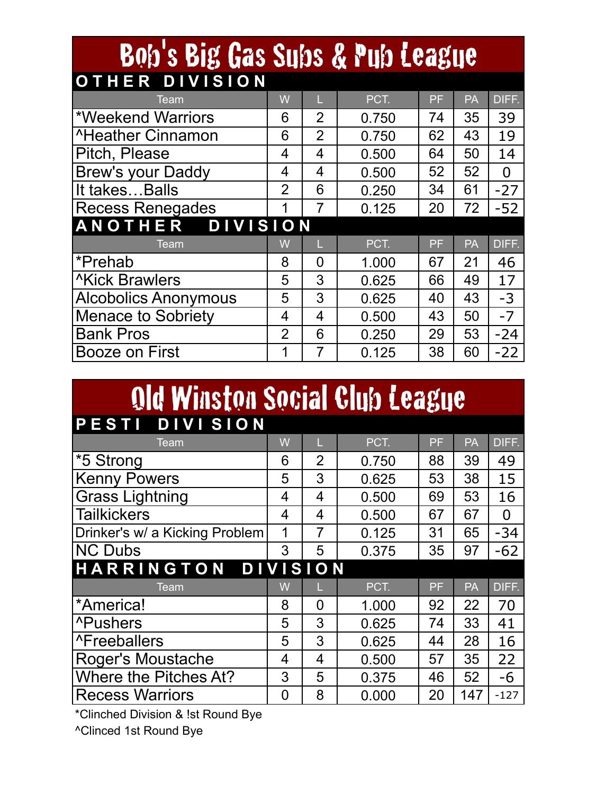| Bob's Big Gas Subs & Pub League |                |                |       |    |    |                |  |  |  |
|---------------------------------|----------------|----------------|-------|----|----|----------------|--|--|--|
| OTHER DIVISION                  |                |                |       |    |    |                |  |  |  |
| Team                            | W              |                | PCT.  | PF | PA | DIFF.          |  |  |  |
| *Weekend Warriors               | 6              | $\overline{2}$ | 0.750 | 74 | 35 | 39             |  |  |  |
| <b>AHeather Cinnamon</b>        | 6              | $\overline{2}$ | 0.750 | 62 | 43 | 19             |  |  |  |
| Pitch, Please                   | 4              | 4              | 0.500 | 64 | 50 | 14             |  |  |  |
| Brew's your Daddy               | 4              | 4              | 0.500 | 52 | 52 | $\overline{0}$ |  |  |  |
| It takesBalls                   | $\overline{2}$ | 6              | 0.250 | 34 | 61 | $-27$          |  |  |  |
| <b>Recess Renegades</b>         | 1              | 7              | 0.125 | 20 | 72 | $-52$          |  |  |  |
| ANOTHER DIVISION                |                |                |       |    |    |                |  |  |  |
| <b>Team</b>                     | W              |                | PCT.  | PF | PA | DIFF.          |  |  |  |
| *Prehab                         | 8              | 0              | 1.000 | 67 | 21 | 46             |  |  |  |
| <b>Kick Brawlers</b>            | 5              | 3              | 0.625 | 66 | 49 | 17             |  |  |  |
| <b>Alcobolics Anonymous</b>     | 5              | 3              | 0.625 | 40 | 43 | $-3$           |  |  |  |
| <b>Menace to Sobriety</b>       | 4              | 4              | 0.500 | 43 | 50 | $-7$           |  |  |  |
| <b>Bank Pros</b>                | $\overline{2}$ | 6              | 0.250 | 29 | 53 | $-24$          |  |  |  |
| Booze on First                  | 1              | 7              | 0.125 | 38 | 60 | $-22$          |  |  |  |

## Old Winston Social Club League

| PESTI DIVISION                 |   |                |       |    |     |                |  |  |
|--------------------------------|---|----------------|-------|----|-----|----------------|--|--|
| Team                           | W | ш              | PCT.  | PF | PA  | DIFF.          |  |  |
| *5 Strong                      | 6 | $\overline{2}$ | 0.750 | 88 | 39  | 49             |  |  |
| <b>Kenny Powers</b>            | 5 | 3              | 0.625 | 53 | 38  | 15             |  |  |
| <b>Grass Lightning</b>         | 4 | 4              | 0.500 | 69 | 53  | 16             |  |  |
| <b>Tailkickers</b>             | 4 | 4              | 0.500 | 67 | 67  | $\overline{0}$ |  |  |
| Drinker's w/ a Kicking Problem | 1 | 7              | 0.125 | 31 | 65  | $-34$          |  |  |
| <b>NC Dubs</b>                 | 3 | 5              | 0.375 | 35 | 97  | $-62$          |  |  |
| HARRINGTON DIVISION            |   |                |       |    |     |                |  |  |
| Team                           | W |                | PCT.  | PF | PA  | DIFF.          |  |  |
| *America!                      | 8 | 0              | 1.000 | 92 | 22  | 70             |  |  |
| <b>^Pushers</b>                | 5 | 3              | 0.625 | 74 | 33  | 41             |  |  |
| <b>^Freeballers</b>            | 5 | 3              | 0.625 | 44 | 28  | 16             |  |  |
| Roger's Moustache              | 4 | 4              | 0.500 | 57 | 35  | 22             |  |  |
| Where the Pitches At?          | 3 | 5              | 0.375 | 46 | 52  | $-6$           |  |  |
| <b>Recess Warriors</b>         | 0 | 8              | 0.000 | 20 | 147 | $-127$         |  |  |

\*Clinched Division & !st Round Bye

^Clinced 1st Round Bye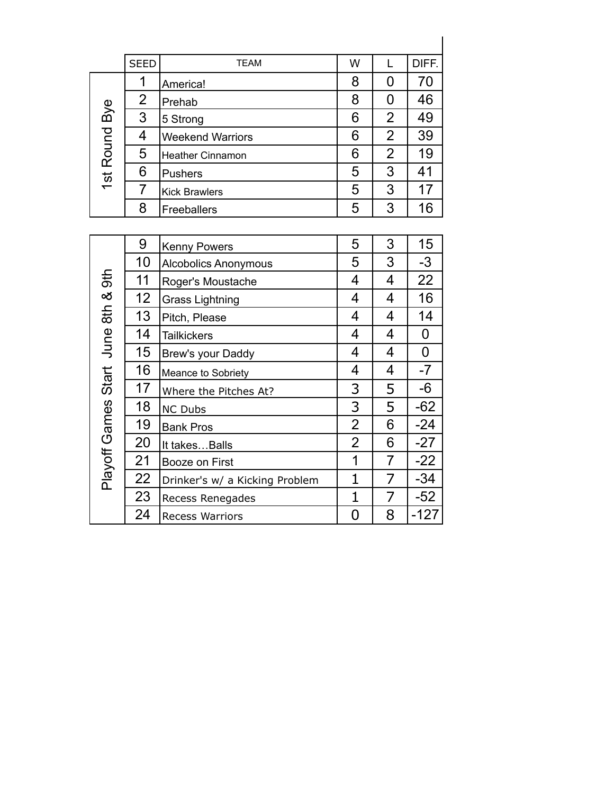| <b>SEED</b><br><b>TEAM</b>     | W |                | DIFF. |
|--------------------------------|---|----------------|-------|
| America!                       | 8 | O              | 70    |
| $\overline{2}$<br>Prehab       | 8 | 0              | 46    |
| 1st Round Bye<br>3<br>5 Strong | 6 | $\overline{2}$ | 49    |
| 4<br><b>Weekend Warriors</b>   | 6 | $\overline{2}$ | 39    |
| 5<br><b>Heather Cinnamon</b>   | 6 | $\overline{2}$ | 19    |
| 6<br><b>Pushers</b>            | 5 | 3              | 41    |
| <b>Kick Brawlers</b>           | 5 | 3              | 17    |
| 8<br>Freeballers               | 5 | 3              | 16    |

|                                    | ∠              | Prehab                         | O              | v              | 4υ          |
|------------------------------------|----------------|--------------------------------|----------------|----------------|-------------|
| Bye                                | 3              | 5 Strong                       | 6              | $\overline{2}$ | 49          |
| 1st Round                          | 4              | <b>Weekend Warriors</b>        | 6              | $\overline{2}$ | 39          |
|                                    | 5              | <b>Heather Cinnamon</b>        | 6              | $\overline{2}$ | 19          |
|                                    | 6              | <b>Pushers</b>                 | 5              | 3              | 41          |
|                                    | $\overline{7}$ | <b>Kick Brawlers</b>           | 5              | 3              | 17          |
|                                    | 8              | Freeballers                    | 5              | 3              | 16          |
|                                    |                |                                |                |                |             |
|                                    | 9              | <b>Kenny Powers</b>            | 5              | 3              | 15          |
|                                    | 10             | Alcobolics Anonymous           | 5              | 3              | $-3$        |
|                                    | 11             | Roger's Moustache              | 4              | 4              | 22          |
| Playoff Games Start June 8th & 9th | 12             | <b>Grass Lightning</b>         | 4              | 4              | 16          |
|                                    | 13             | Pitch, Please                  | 4              | 4              | 14          |
|                                    | 14             | <b>Tailkickers</b>             | 4              | 4              | 0           |
|                                    | 15             | Brew's your Daddy              | 4              | 4              | $\mathbf 0$ |
|                                    | 16             | Meance to Sobriety             | 4              | 4              | $-7$        |
|                                    | 17             | Where the Pitches At?          | 3              | 5              | -6          |
|                                    | 18             | <b>NC Dubs</b>                 | $\overline{3}$ | 5              | $-62$       |
|                                    | 19             | <b>Bank Pros</b>               | $\overline{2}$ | 6              | $-24$       |
|                                    | 20             | It takes Balls                 | $\overline{2}$ | 6              | $-27$       |
|                                    | 21             | Booze on First                 | 1              | 7              | $-22$       |
|                                    | 22             | Drinker's w/ a Kicking Problem | $\mathbf{1}$   | 7              | $-34$       |
|                                    | 23             | Recess Renegades               | $\mathbf 1$    | 7              | $-52$       |
|                                    | 24             | <b>Recess Warriors</b>         | $\mathbf 0$    | 8              | $-127$      |